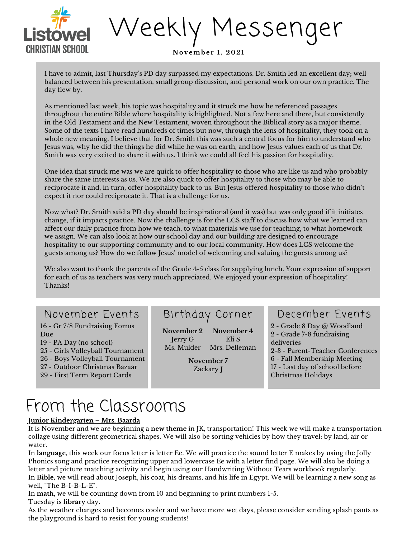

Weekly Messenger

**N ov embe r 1 , 2 0 21**

I have to admit, last Thursday's PD day surpassed my expectations. Dr. Smith led an excellent day; well balanced between his presentation, small group discussion, and personal work on our own practice. The day flew by.

As mentioned last week, his topic was hospitality and it struck me how he referenced passages throughout the entire Bible where hospitality is highlighted. Not a few here and there, but consistently in the Old Testament and the New Testament, woven throughout the Biblical story as a major theme. Some of the texts I have read hundreds of times but now, through the lens of hospitality, they took on a whole new meaning. I believe that for Dr. Smith this was such a central focus for him to understand who Jesus was, why he did the things he did while he was on earth, and how Jesus values each of us that Dr. Smith was very excited to share it with us. I think we could all feel his passion for hospitality.

One idea that struck me was we are quick to offer hospitality to those who are like us and who probably share the same interests as us. We are also quick to offer hospitality to those who may be able to reciprocate it and, in turn, offer hospitality back to us. But Jesus offered hospitality to those who didn't expect it nor could reciprocate it. That is a challenge for us.

Now what? Dr. Smith said a PD day should be inspirational (and it was) but was only good if it initiates change, if it impacts practice. Now the challenge is for the LCS staff to discuss how what we learned can affect our daily practice from how we teach, to what materials we use for teaching, to what homework we assign. We can also look at how our school day and our building are designed to encourage hospitality to our supporting community and to our local community. How does LCS welcome the guests among us? How do we follow Jesus' model of welcoming and valuing the guests among us?

We also want to thank the parents of the Grade 4-5 class for supplying lunch. Your expression of support for each of us as teachers was very much appreciated. We enjoyed your expression of hospitality! Thanks!

- 16 Gr 7/8 Fundraising Forms Due
- 19 PA Day (no school)
- 25 Girls Volleyball Tournament
- 26 Boys Volleyball Tournament
- 27 Outdoor Christmas Bazaar
- 29 First Term Report Cards

**November 2** Jerry G Ms. Mulder **November 4** Eli S Mrs. Delleman

> **November 7** Zackary J

## November Events Birthday Corner December Events

2 - Grade 8 Day @ Woodland 2 - Grade 7-8 fundraising deliveries 2-3 - Parent-Teacher Conferences 6 - Fall Membership Meeting 17 - Last day of school before Christmas Holidays

# From the Classrooms

### **Junior Kindergarten – Mrs. Baarda**

It is November and we are beginning a **new theme** in JK, transportation! This week we will make a transportation collage using different geometrical shapes. We will also be sorting vehicles by how they travel: by land, air or water.

In **language**, this week our focus letter is letter Ee. We will practice the sound letter E makes by using the Jolly Phonics song and practice recognizing upper and lowercase Ee with a letter find page. We will also be doing a letter and picture matching activity and begin using our Handwriting Without Tears workbook regularly. In **Bible,** we will read about Joseph, his coat, his dreams, and his life in Egypt. We will be learning a new song as well, "The B-I-B-L-E".

In **math**, we will be counting down from 10 and beginning to print numbers 1-5. Tuesday is **library** day.

As the weather changes and becomes cooler and we have more wet days, please consider sending splash pants as the playground is hard to resist for young students!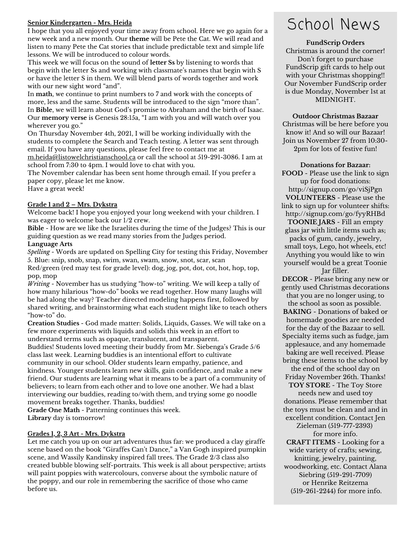#### **Senior Kindergarten - Mrs. Heida**

I hope that you all enjoyed your time away from school. Here we go again for a new week and a new month. Our **theme** will be Pete the Cat. We will read and listen to many Pete the Cat stories that include predictable text and simple life lessons. We will be introduced to colour words.

This week we will focus on the sound of **letter Ss** by listening to words that begin with the letter Ss and working with classmate's names that begin with S or have the letter S in them. We will blend parts of words together and work with our new sight word "and".

In **math**, we continue to print numbers to 7 and work with the concepts of more, less and the same. Students will be introduced to the sign "more than". In **Bible**, we will learn about God's promise to Abraham and the birth of Isaac. Our **memory verse** is Genesis 28:15a, "I am with you and will watch over you wherever you go."

On Thursday November 4th, 2021, I will be working individually with the students to complete the Search and Teach testing. A letter was sent through email. If you have any questions, please feel free to contact me at [m.heida@listowelchristianschool.ca](mailto:m.heida@listowelchristianschool.ca) or call the school at 519-291-3086. I am at

school from 7:30 to 4pm. I would love to chat with you.

The November calendar has been sent home through email. If you prefer a paper copy, please let me know.

Have a great week!

#### **Grade 1 and 2 – Mrs. Dykstra**

Welcome back! I hope you enjoyed your long weekend with your children. I was eager to welcome back our 1/2 crew.

**Bible** - How are we like the Israelites during the time of the Judges? This is our guiding question as we read many stories from the Judges period.

#### **Language Arts**

*Spelling -* Words are updated on [Spelling](https://www.spellingcity.com/users/ddd8482) City for testing this Friday, November 5. Blue: snip, snob, snap, swim, swan, swam, snow, snot, scar, scan Red/green (red may test for grade level): dog, jog, pot, dot, cot, hot, hop, top,

pop, mop *Writing -* November has us studying "how-to" writing. We will keep a tally of how many hilarious "how-do" books we read together. How many laughs will be had along the way? Teacher directed modeling happens first, followed by shared writing, and brainstorming what each student might like to teach others "how-to" do.

**Creation Studies** - God made matter: Solids, Liquids, Gasses. We will take on a few more experiments with liquids and solids this week in an effort to understand terms such as opaque, translucent, and transparent.

Buddies! Students loved meeting their buddy from Mr. Siebenga's Grade 5/6 class last week. Learning buddies is an intentional effort to cultivate community in our school. Older students learn empathy, patience, and kindness. Younger students learn new skills, gain confidence, and make a new friend. Our students are learning what it means to be a part of a community of believers; to learn from each other and to love one another. We had a blast interviewing our buddies, reading to/with them, and trying some go noodle movement breaks together. Thanks, buddies!

**Grade One Math** - Patterning continues this week. **Library** day is tomorrow!

#### **Grades 1, 2, 3 Art - Mrs. Dykstra**

Let me catch you up on our art adventures thus far: we produced a clay giraffe scene based on the book "Giraffes Can't Dance," a Van Gogh inspired pumpkin scene, and Wassily Kandinsky inspired fall trees. The Grade 2/3 class also created bubble blowing self-portraits. This week is all about perspective; artists will paint poppies with watercolours, converse about the symbolic nature of the poppy, and our role in remembering the sacrifice of those who came before us.

## School News

#### **FundScrip Orders**

Christmas is around the corner! Don't forget to purchase FundScrip gift cards to help out with your Christmas shopping!! Our November FundScrip order is due Monday, November 1st at MIDNIGHT.

**Outdoor Christmas Bazaar**

Christmas will be here before you know it! And so will our Bazaar! Join us November 27 from 10:30- 2pm for lots of festive fun!

**Donations for Bazaar:**

**FOOD** - Please use the link to sign up for food donations: http://signup.com/go/viSjPgn **VOLUNTEERS** - Please use the link to sign up for volunteer shifts: http://signup.com/go/fyyRHBd **TOONIE JARS** - Fill an empty glass jar with little items such as; packs of gum, candy, jewelry, small toys, Lego, hot wheels, etc! Anything you would like to win yourself would be a great Toonie Jar filler. **DECOR** - Please bring any new or gently used Christmas decorations that you are no longer using, to the school as soon as possible. **BAKING** - Donations of baked or homemade goodies are needed for the day of the Bazaar to sell. Specialty items such as fudge, jam applesauce, and any homemade baking are well received. Please bring these items to the school by the end of the school day on Friday November 26th. Thanks! **TOY STORE** - The Toy Store needs new and used toy donations. Please remember that the toys must be clean and and in excellent condition. Contact Jen Zieleman (519-777-2393) for more info. **CRAFT ITEMS** - Looking for a wide variety of crafts; sewing, knitting, jewelry, painting, woodworking, etc. Contact Alana Siebring (519-291-7709) or Henrike Reitzema

(519-261-2244) for more info.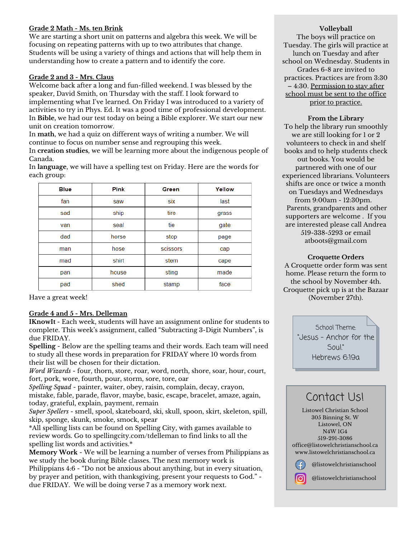#### **Grade 2 Math - Ms. ten Brink**

We are starting a short unit on patterns and algebra this week. We will be focusing on repeating patterns with up to two attributes that change. Students will be using a variety of things and actions that will help them in understanding how to create a pattern and to identify the core.

#### **Grade 2 and 3 - Mrs. Claus**

Welcome back after a long and fun-filled weekend. I was blessed by the speaker, David Smith, on Thursday with the staff. I look forward to implementing what I've learned. On Friday I was introduced to a variety of activities to try in Phys. Ed. It was a good time of professional development. In **Bible,** we had our test today on being a Bible explorer. We start our new unit on creation tomorrow.

In **math**, we had a quiz on different ways of writing a number. We will continue to focus on number sense and regrouping this week.

In **creation studies**, we will be learning more about the indigenous people of Canada.

In **language**, we will have a spelling test on Friday. Here are the words for each group:

| <b>Blue</b> | <b>Pink</b> | Green    | Yellow |
|-------------|-------------|----------|--------|
| fan         | saw         | six      | last   |
| sad         | ship        | tire     | grass  |
| van         | seal        | tie      | gate   |
| dad         | horse       | stop     | page   |
| man         | hose        | scissors | cap    |
| mad         | shirt       | stem     | cape   |
| pan         | house       | sting    | made   |
| pad         | shed        | stamp    | face   |

Have a great week!

#### **Grade 4 and 5 - Mrs. Delleman**

**IKnowIt** - Each week, students will have an assignment online for students to complete. This week's assignment, called "Subtracting 3-Digit Numbers", is due FRIDAY.

**Spelling** - Below are the spelling teams and their words. Each team will need to study all these words in preparation for FRIDAY where 10 words from their list will be chosen for their dictation.

*Word Wizards* - four, thorn, store, roar, word, north, shore, soar, hour, court, fort, pork, wore, fourth, pour, storm, sore, tore, oar

*Spelling Squad* - painter, waiter, obey, raisin, complain, decay, crayon, mistake, fable, parade, flavor, maybe, basic, escape, bracelet, amaze, again, today, grateful, explain, payment, remain

*Super Spellers* - smell, spool, skateboard, ski, skull, spoon, skirt, skeleton, spill, skip, sponge, skunk, smoke, smock, spear

\*All spelling lists can be found on Spelling City, with games available to review words. Go to [spellingcity.com/tdelleman](http://spellingcity.com/tdelleman) to find links to all the spelling list words and activities.\*

**Memory Work** - We will be learning a number of verses from Philippians as we study the book during Bible classes. The next memory work is Philippians 4:6 - "Do not be anxious about anything, but in every situation, by prayer and petition, with thanksgiving, present your requests to God." due FRIDAY. We will be doing verse 7 as a memory work next.

#### **Volleyball**

The boys will practice on Tuesday. The girls will practice at lunch on Tuesday and after school on Wednesday. Students in Grades 6-8 are invited to practices. Practices are from 3:30 – 4:30. Permission to stay after school must be sent to the office prior to practice.

**From the Library** To help the library run smoothly we are still looking for 1 or 2 volunteers to check in and shelf books and to help students check out books. You would be partnered with one of our experienced librarians. Volunteers shifts are once or twice a month on Tuesdays and Wednesdays from 9:00am - 12:30pm. Parents, grandparents and other supporters are welcome . If you are interested please call Andrea 519-338-5293 or email [atboots@gmail.com](mailto:atboots@gmail.com)

#### **Croquette Orders**

A Croquette order form was sent home. Please return the form to the school by November 4th. Croquette pick up is at the Bazaar (November 27th).

> School Theme: "Jesus - Anchor for the Soul." Hebrews 6:19a